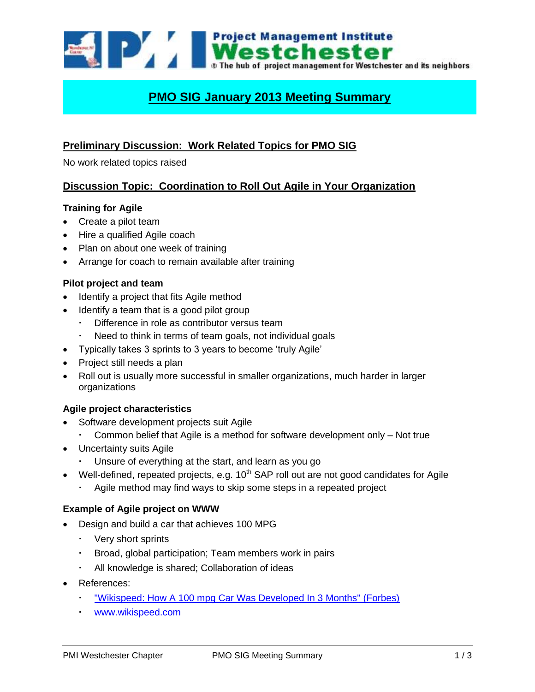Project Management Institute<br> **Westchester**<br> **Westchest** The hub of project management for Westchester and its neighbors

# **PMO SIG January 2013 Meeting Summary**

# **Preliminary Discussion: Work Related Topics for PMO SIG**

No work related topics raised

## **Discussion Topic: Coordination to Roll Out Agile in Your Organization**

#### **Training for Agile**

- Create a pilot team
- Hire a qualified Agile coach
- Plan on about one week of training
- Arrange for coach to remain available after training

#### **Pilot project and team**

- Identify a project that fits Agile method
- $\bullet$  Identify a team that is a good pilot group
	- Difference in role as contributor versus team
	- Need to think in terms of team goals, not individual goals
- Typically takes 3 sprints to 3 years to become 'truly Agile'
- Project still needs a plan
- Roll out is usually more successful in smaller organizations, much harder in larger organizations

#### **Agile project characteristics**

- Software development projects suit Agile
	- Common belief that Agile is a method for software development only Not true
- Uncertainty suits Agile
	- Unsure of everything at the start, and learn as you go
- Well-defined, repeated projects, e.g.  $10^{th}$  SAP roll out are not good candidates for Agile
	- Agile method may find ways to skip some steps in a repeated project

#### **Example of Agile project on WWW**

- Design and build a car that achieves 100 MPG
	- Very short sprints
	- Broad, global participation; Team members work in pairs
	- All knowledge is shared; Collaboration of ideas
- References:
	- ["Wikispeed: How A 100 mpg Car Was Developed In 3 Months" \(Forbes\)](http://www.forbes.com/sites/stevedenning/2012/05/10/wikispeed-how-a-100-mpg-car-was-developed-in-3-months/)
	- [www.wikispeed.com](http://www.wikispeed.com/)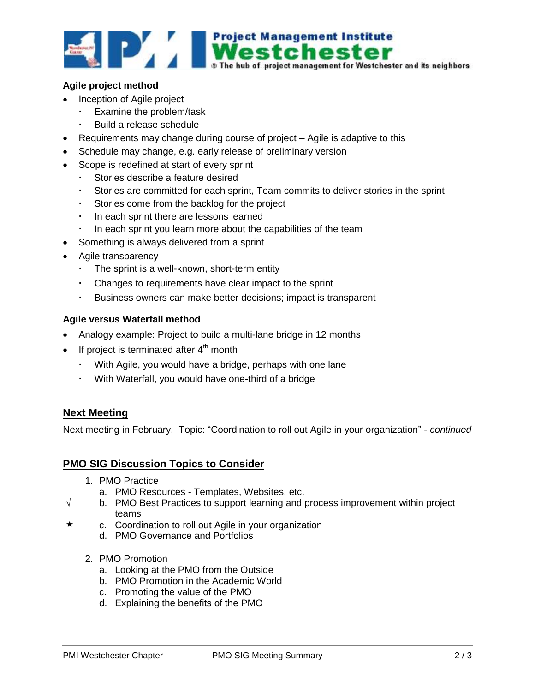

#### **Agile project method**

- Inception of Agile project
	- Examine the problem/task
	- Build a release schedule
- Requirements may change during course of project Agile is adaptive to this
- Schedule may change, e.g. early release of preliminary version
- Scope is redefined at start of every sprint
	- Stories describe a feature desired
	- Stories are committed for each sprint, Team commits to deliver stories in the sprint
	- Stories come from the backlog for the project
	- In each sprint there are lessons learned
	- In each sprint you learn more about the capabilities of the team
- Something is always delivered from a sprint
- Agile transparency
	- The sprint is a well-known, short-term entity
	- Changes to requirements have clear impact to the sprint
	- Business owners can make better decisions; impact is transparent

#### **Agile versus Waterfall method**

- Analogy example: Project to build a multi-lane bridge in 12 months
- If project is terminated after  $4<sup>th</sup>$  month
	- With Agile, you would have a bridge, perhaps with one lane
	- With Waterfall, you would have one-third of a bridge

## **Next Meeting**

Next meeting in February. Topic: "Coordination to roll out Agile in your organization" - *continued*

## **PMO SIG Discussion Topics to Consider**

- 1. PMO Practice
	- a. PMO Resources Templates, Websites, etc.
- $\sqrt{ }$  b. PMO Best Practices to support learning and process improvement within project teams
- $\star$  c. Coordination to roll out Agile in your organization
	- d. PMO Governance and Portfolios
	- 2. PMO Promotion
		- a. Looking at the PMO from the Outside
		- b. PMO Promotion in the Academic World
		- c. Promoting the value of the PMO
		- d. Explaining the benefits of the PMO